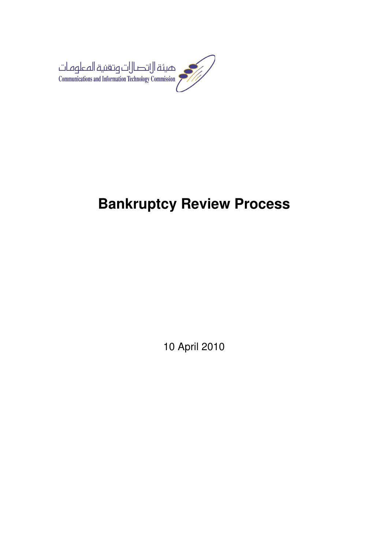

# **Bankruptcy Review Process**

10 April 2010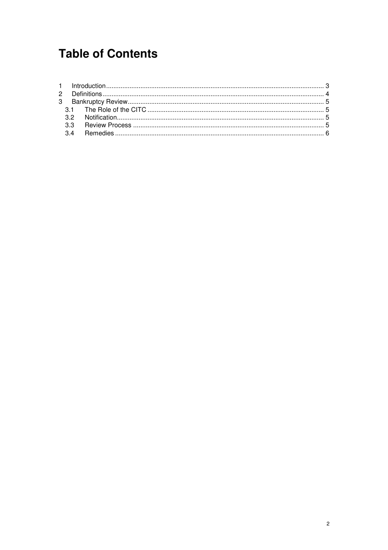## **Table of Contents**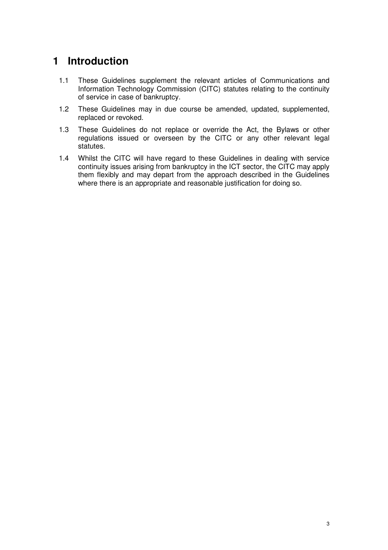## **1 Introduction**

- 1.1 These Guidelines supplement the relevant articles of Communications and Information Technology Commission (CITC) statutes relating to the continuity of service in case of bankruptcy.
- 1.2 These Guidelines may in due course be amended, updated, supplemented, replaced or revoked.
- 1.3 These Guidelines do not replace or override the Act, the Bylaws or other regulations issued or overseen by the CITC or any other relevant legal statutes.
- 1.4 Whilst the CITC will have regard to these Guidelines in dealing with service continuity issues arising from bankruptcy in the ICT sector, the CITC may apply them flexibly and may depart from the approach described in the Guidelines where there is an appropriate and reasonable justification for doing so.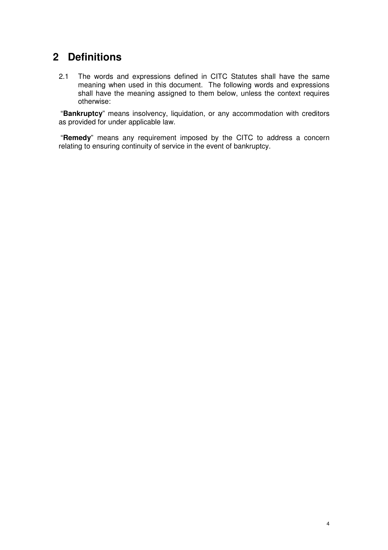### **2 Definitions**

2.1 The words and expressions defined in CITC Statutes shall have the same meaning when used in this document. The following words and expressions shall have the meaning assigned to them below, unless the context requires otherwise:

 "**Bankruptcy**" means insolvency, liquidation, or any accommodation with creditors as provided for under applicable law.

 "**Remedy**" means any requirement imposed by the CITC to address a concern relating to ensuring continuity of service in the event of bankruptcy.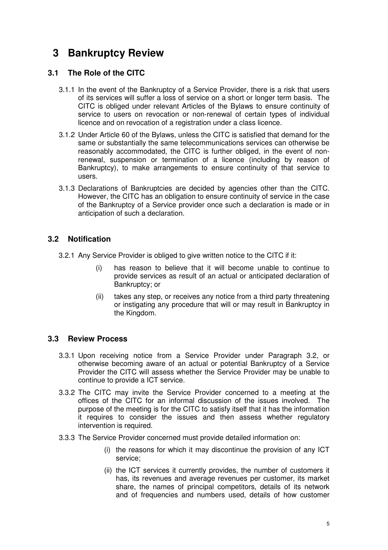## **3 Bankruptcy Review**

#### **3.1 The Role of the CITC**

- 3.1.1 In the event of the Bankruptcy of a Service Provider, there is a risk that users of its services will suffer a loss of service on a short or longer term basis. The CITC is obliged under relevant Articles of the Bylaws to ensure continuity of service to users on revocation or non-renewal of certain types of individual licence and on revocation of a registration under a class licence.
- 3.1.2 Under Article 60 of the Bylaws, unless the CITC is satisfied that demand for the same or substantially the same telecommunications services can otherwise be reasonably accommodated, the CITC is further obliged, in the event of nonrenewal, suspension or termination of a licence (including by reason of Bankruptcy), to make arrangements to ensure continuity of that service to users.
- 3.1.3 Declarations of Bankruptcies are decided by agencies other than the CITC. However, the CITC has an obligation to ensure continuity of service in the case of the Bankruptcy of a Service provider once such a declaration is made or in anticipation of such a declaration.

#### **3.2 Notification**

- 3.2.1 Any Service Provider is obliged to give written notice to the CITC if it:
	- (i) has reason to believe that it will become unable to continue to provide services as result of an actual or anticipated declaration of Bankruptcy; or
	- (ii) takes any step, or receives any notice from a third party threatening or instigating any procedure that will or may result in Bankruptcy in the Kingdom.

#### **3.3 Review Process**

- 3.3.1 Upon receiving notice from a Service Provider under Paragraph 3.2, or otherwise becoming aware of an actual or potential Bankruptcy of a Service Provider the CITC will assess whether the Service Provider may be unable to continue to provide a ICT service.
- 3.3.2 The CITC may invite the Service Provider concerned to a meeting at the offices of the CITC for an informal discussion of the issues involved. The purpose of the meeting is for the CITC to satisfy itself that it has the information it requires to consider the issues and then assess whether regulatory intervention is required.
- 3.3.3 The Service Provider concerned must provide detailed information on:
	- (i) the reasons for which it may discontinue the provision of any ICT service;
	- (ii) the ICT services it currently provides, the number of customers it has, its revenues and average revenues per customer, its market share, the names of principal competitors, details of its network and of frequencies and numbers used, details of how customer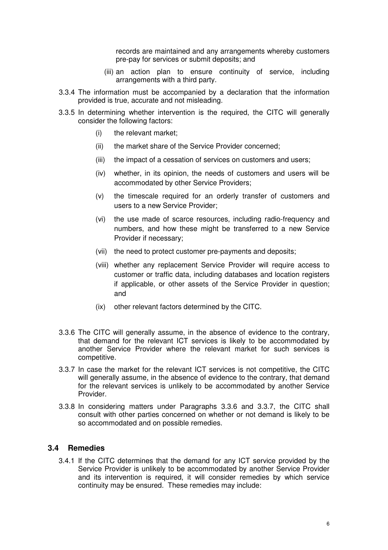records are maintained and any arrangements whereby customers pre-pay for services or submit deposits; and

- (iii) an action plan to ensure continuity of service, including arrangements with a third party.
- 3.3.4 The information must be accompanied by a declaration that the information provided is true, accurate and not misleading.
- 3.3.5 In determining whether intervention is the required, the CITC will generally consider the following factors:
	- (i) the relevant market;
	- (ii) the market share of the Service Provider concerned;
	- (iii) the impact of a cessation of services on customers and users:
	- (iv) whether, in its opinion, the needs of customers and users will be accommodated by other Service Providers;
	- (v) the timescale required for an orderly transfer of customers and users to a new Service Provider;
	- (vi) the use made of scarce resources, including radio-frequency and numbers, and how these might be transferred to a new Service Provider if necessary;
	- (vii) the need to protect customer pre-payments and deposits;
	- (viii) whether any replacement Service Provider will require access to customer or traffic data, including databases and location registers if applicable, or other assets of the Service Provider in question; and
	- (ix) other relevant factors determined by the CITC.
- 3.3.6 The CITC will generally assume, in the absence of evidence to the contrary, that demand for the relevant ICT services is likely to be accommodated by another Service Provider where the relevant market for such services is competitive.
- 3.3.7 In case the market for the relevant ICT services is not competitive, the CITC will generally assume, in the absence of evidence to the contrary, that demand for the relevant services is unlikely to be accommodated by another Service Provider.
- 3.3.8 In considering matters under Paragraphs 3.3.6 and 3.3.7, the CITC shall consult with other parties concerned on whether or not demand is likely to be so accommodated and on possible remedies.

#### **3.4 Remedies**

3.4.1 If the CITC determines that the demand for any ICT service provided by the Service Provider is unlikely to be accommodated by another Service Provider and its intervention is required, it will consider remedies by which service continuity may be ensured. These remedies may include: